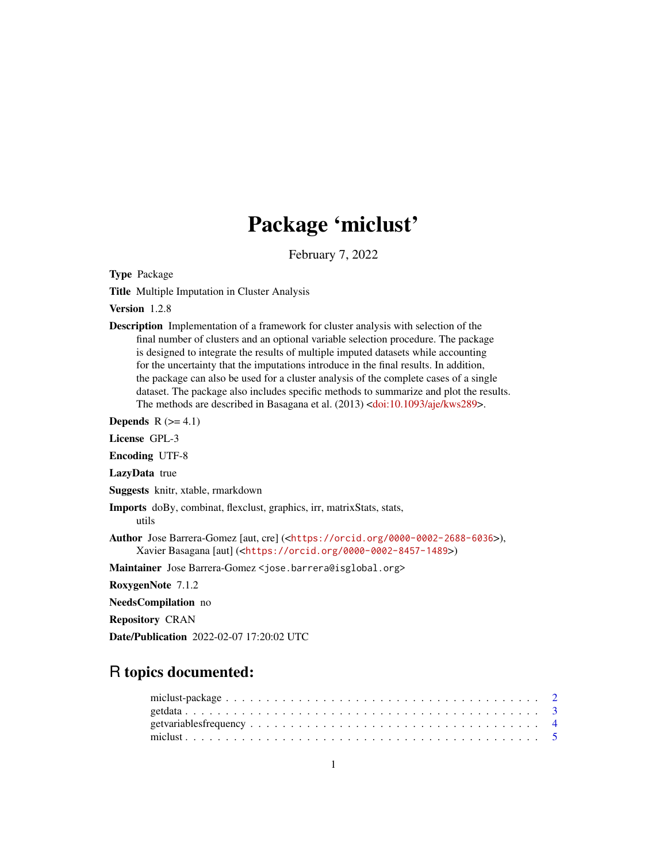# Package 'miclust'

February 7, 2022

Type Package

Title Multiple Imputation in Cluster Analysis

Version 1.2.8

Description Implementation of a framework for cluster analysis with selection of the final number of clusters and an optional variable selection procedure. The package is designed to integrate the results of multiple imputed datasets while accounting for the uncertainty that the imputations introduce in the final results. In addition, the package can also be used for a cluster analysis of the complete cases of a single dataset. The package also includes specific methods to summarize and plot the results. The methods are described in Basagana et al. (2013) [<doi:10.1093/aje/kws289>](https://doi.org/10.1093/aje/kws289).

**Depends**  $R$  ( $>= 4.1$ )

License GPL-3

Encoding UTF-8

LazyData true

Suggests knitr, xtable, rmarkdown

Imports doBy, combinat, flexclust, graphics, irr, matrixStats, stats, utils

Author Jose Barrera-Gomez [aut, cre] (<<https://orcid.org/0000-0002-2688-6036>>), Xavier Basagana [aut] (<<https://orcid.org/0000-0002-8457-1489>>)

Maintainer Jose Barrera-Gomez <jose.barrera@isglobal.org>

RoxygenNote 7.1.2

NeedsCompilation no

Repository CRAN

Date/Publication 2022-02-07 17:20:02 UTC

# R topics documented: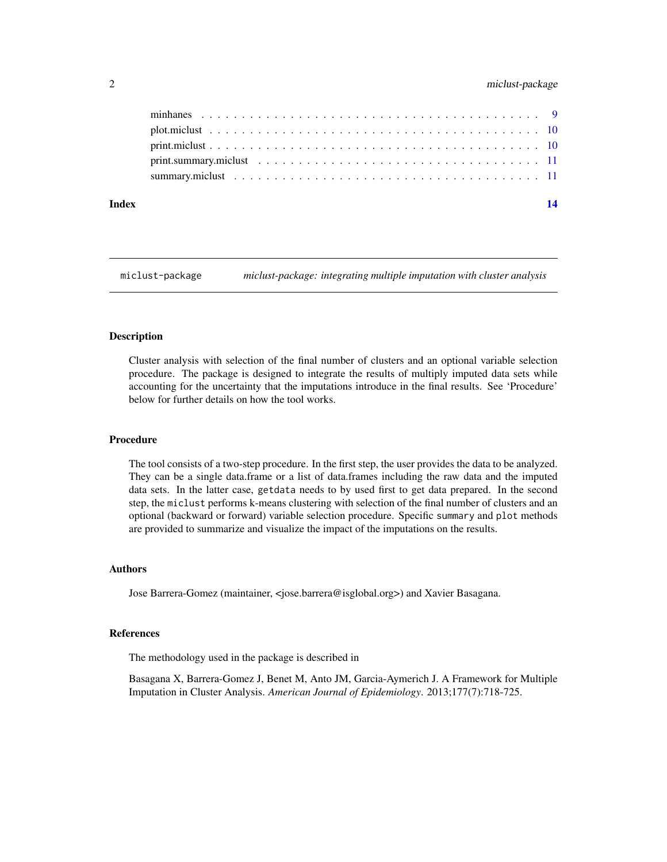# <span id="page-1-0"></span>2 miclust-package

| Index | 14 |
|-------|----|
|       |    |
|       |    |
|       |    |
|       |    |
|       |    |

miclust-package *miclust-package: integrating multiple imputation with cluster analysis*

#### Description

Cluster analysis with selection of the final number of clusters and an optional variable selection procedure. The package is designed to integrate the results of multiply imputed data sets while accounting for the uncertainty that the imputations introduce in the final results. See 'Procedure' below for further details on how the tool works.

#### Procedure

The tool consists of a two-step procedure. In the first step, the user provides the data to be analyzed. They can be a single data.frame or a list of data.frames including the raw data and the imputed data sets. In the latter case, getdata needs to by used first to get data prepared. In the second step, the miclust performs k-means clustering with selection of the final number of clusters and an optional (backward or forward) variable selection procedure. Specific summary and plot methods are provided to summarize and visualize the impact of the imputations on the results.

#### Authors

Jose Barrera-Gomez (maintainer, <jose.barrera@isglobal.org>) and Xavier Basagana.

#### References

The methodology used in the package is described in

Basagana X, Barrera-Gomez J, Benet M, Anto JM, Garcia-Aymerich J. A Framework for Multiple Imputation in Cluster Analysis. *American Journal of Epidemiology*. 2013;177(7):718-725.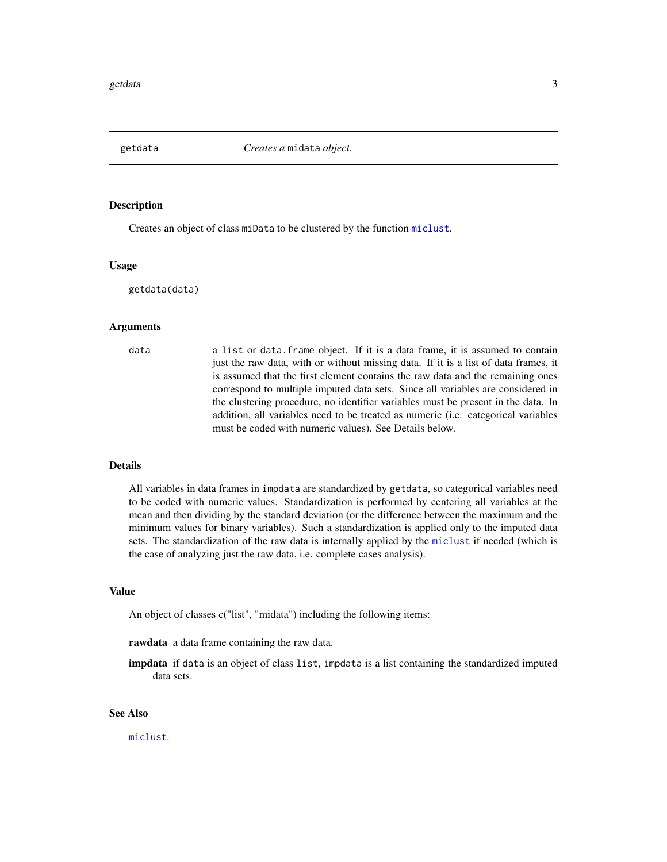<span id="page-2-1"></span><span id="page-2-0"></span>

#### Description

Creates an object of class miData to be clustered by the function [miclust](#page-4-1).

#### Usage

getdata(data)

#### Arguments

data a list or data.frame object. If it is a data frame, it is assumed to contain just the raw data, with or without missing data. If it is a list of data frames, it is assumed that the first element contains the raw data and the remaining ones correspond to multiple imputed data sets. Since all variables are considered in the clustering procedure, no identifier variables must be present in the data. In addition, all variables need to be treated as numeric (i.e. categorical variables must be coded with numeric values). See Details below.

#### Details

All variables in data frames in impdata are standardized by getdata, so categorical variables need to be coded with numeric values. Standardization is performed by centering all variables at the mean and then dividing by the standard deviation (or the difference between the maximum and the minimum values for binary variables). Such a standardization is applied only to the imputed data sets. The standardization of the raw data is internally applied by the [miclust](#page-4-1) if needed (which is the case of analyzing just the raw data, i.e. complete cases analysis).

#### Value

An object of classes c("list", "midata") including the following items:

rawdata a data frame containing the raw data.

impdata if data is an object of class list, impdata is a list containing the standardized imputed data sets.

### See Also

[miclust](#page-4-1).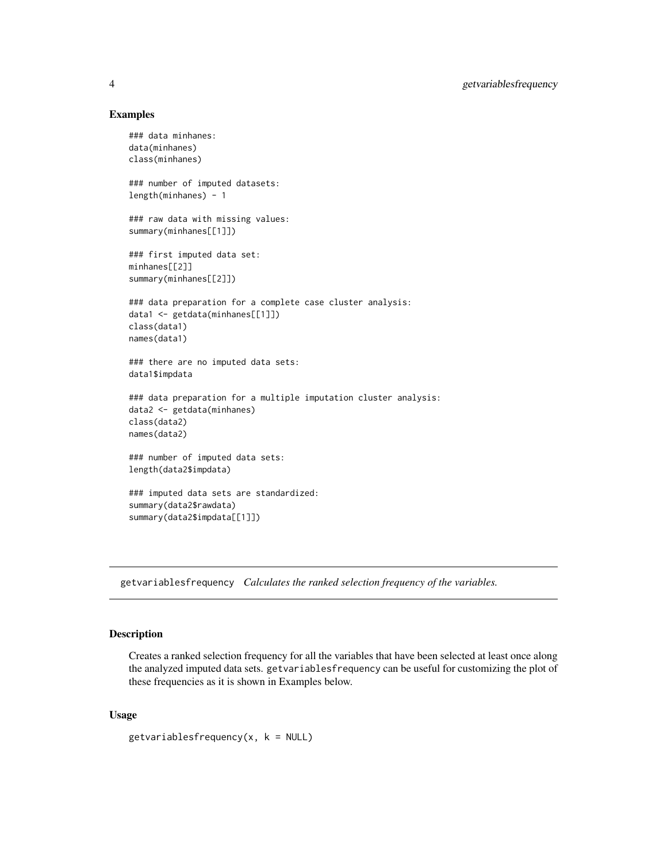#### Examples

```
### data minhanes:
data(minhanes)
class(minhanes)
### number of imputed datasets:
length(minhanes) - 1
### raw data with missing values:
summary(minhanes[[1]])
### first imputed data set:
minhanes[[2]]
summary(minhanes[[2]])
### data preparation for a complete case cluster analysis:
data1 <- getdata(minhanes[[1]])
class(data1)
names(data1)
### there are no imputed data sets:
data1$impdata
### data preparation for a multiple imputation cluster analysis:
data2 <- getdata(minhanes)
class(data2)
names(data2)
### number of imputed data sets:
length(data2$impdata)
### imputed data sets are standardized:
summary(data2$rawdata)
summary(data2$impdata[[1]])
```
getvariablesfrequency *Calculates the ranked selection frequency of the variables.*

### Description

Creates a ranked selection frequency for all the variables that have been selected at least once along the analyzed imputed data sets. getvariablesfrequency can be useful for customizing the plot of these frequencies as it is shown in Examples below.

#### Usage

```
getvariablefrequency(x, k = NULL)
```
<span id="page-3-0"></span>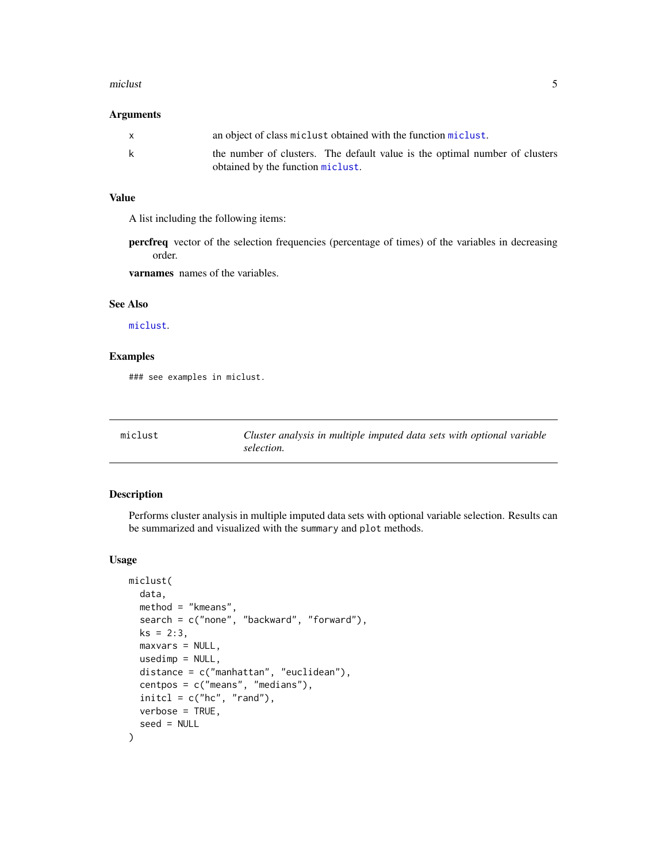#### <span id="page-4-0"></span>miclust 5

#### Arguments

| the number of clusters. The default value is the optimal number of clusters<br>obtained by the function miclust. |
|------------------------------------------------------------------------------------------------------------------|
|                                                                                                                  |

#### Value

A list including the following items:

percfreq vector of the selection frequencies (percentage of times) of the variables in decreasing order.

varnames names of the variables.

#### See Also

[miclust](#page-4-1).

# Examples

### see examples in miclust.

<span id="page-4-1"></span>

| miclust | Cluster analysis in multiple imputed data sets with optional variable |
|---------|-----------------------------------------------------------------------|
|         | selection.                                                            |

# Description

Performs cluster analysis in multiple imputed data sets with optional variable selection. Results can be summarized and visualized with the summary and plot methods.

#### Usage

```
miclust(
  data,
 method = "kmeans",
  search = c("none", "backward", "forward"),
  ks = 2:3,
  maxvars = NULL,
  usedimp = NULL,
  distance = c("manhattan", "euclidean"),
  centpos = c("means", "medians"),
  initcl = c("hc", "rand"),verbose = TRUE,
  seed = NULL
)
```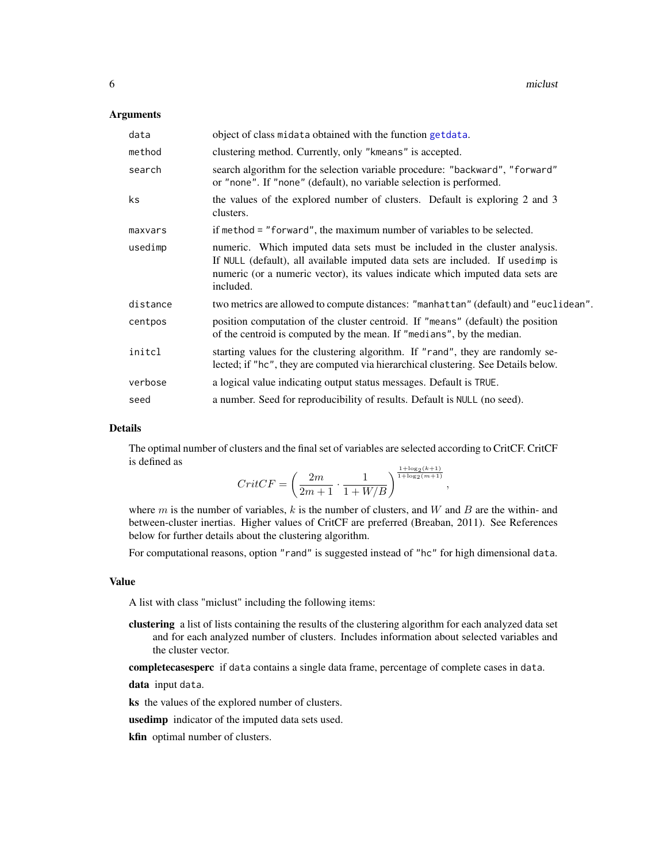#### <span id="page-5-0"></span>**Arguments**

| data     | object of class midata obtained with the function getdata.                                                                                                                                                                                                  |
|----------|-------------------------------------------------------------------------------------------------------------------------------------------------------------------------------------------------------------------------------------------------------------|
| method   | clustering method. Currently, only "kmeans" is accepted.                                                                                                                                                                                                    |
| search   | search algorithm for the selection variable procedure: "backward", "forward"<br>or "none". If "none" (default), no variable selection is performed.                                                                                                         |
| ks.      | the values of the explored number of clusters. Default is exploring 2 and 3<br>clusters.                                                                                                                                                                    |
| maxvars  | if method = "forward", the maximum number of variables to be selected.                                                                                                                                                                                      |
| usedimp  | numeric. Which imputed data sets must be included in the cluster analysis.<br>If NULL (default), all available imputed data sets are included. If usedimp is<br>numeric (or a numeric vector), its values indicate which imputed data sets are<br>included. |
| distance | two metrics are allowed to compute distances: "manhattan" (default) and "euclidean".                                                                                                                                                                        |
| centpos  | position computation of the cluster centroid. If "means" (default) the position<br>of the centroid is computed by the mean. If "medians", by the median.                                                                                                    |
| initcl   | starting values for the clustering algorithm. If "rand", they are randomly se-<br>lected; if "hc", they are computed via hierarchical clustering. See Details below.                                                                                        |
| verbose  | a logical value indicating output status messages. Default is TRUE.                                                                                                                                                                                         |
| seed     | a number. Seed for reproducibility of results. Default is NULL (no seed).                                                                                                                                                                                   |

#### Details

The optimal number of clusters and the final set of variables are selected according to CritCF. CritCF is defined as

$$
CritCF = \left(\frac{2m}{2m+1} \cdot \frac{1}{1+W/B}\right)^{\frac{1+\log_2(k+1)}{1+\log_2(m+1)}},
$$

where  $m$  is the number of variables,  $k$  is the number of clusters, and  $W$  and  $B$  are the within- and between-cluster inertias. Higher values of CritCF are preferred (Breaban, 2011). See References below for further details about the clustering algorithm.

For computational reasons, option "rand" is suggested instead of "hc" for high dimensional data.

#### Value

A list with class "miclust" including the following items:

clustering a list of lists containing the results of the clustering algorithm for each analyzed data set and for each analyzed number of clusters. Includes information about selected variables and the cluster vector.

completecasesperc if data contains a single data frame, percentage of complete cases in data.

data input data.

ks the values of the explored number of clusters.

usedimp indicator of the imputed data sets used.

kfin optimal number of clusters.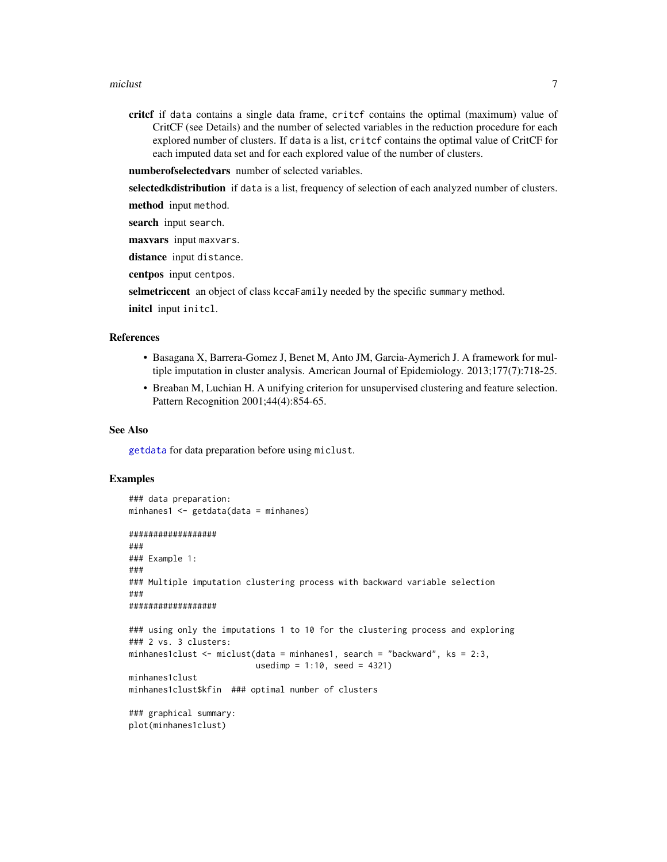#### <span id="page-6-0"></span>miclust 7 and 2008 and 2008 and 2008 and 2008 and 2008 and 2008 and 2008 and 2008 and 2008 and 2008 and 2008 and 2008 and 2008 and 2008 and 2008 and 2008 and 2008 and 2008 and 2008 and 2008 and 2008 and 2008 and 2008 and 2

critcf if data contains a single data frame, critcf contains the optimal (maximum) value of CritCF (see Details) and the number of selected variables in the reduction procedure for each explored number of clusters. If data is a list, critcf contains the optimal value of CritCF for each imputed data set and for each explored value of the number of clusters.

numberofselectedvars number of selected variables.

selectedkdistribution if data is a list, frequency of selection of each analyzed number of clusters.

method input method.

search input search.

maxvars input maxvars.

distance input distance.

centpos input centpos.

selmetriccent an object of class kccaFamily needed by the specific summary method.

```
initcl input initcl.
```
#### References

- Basagana X, Barrera-Gomez J, Benet M, Anto JM, Garcia-Aymerich J. A framework for multiple imputation in cluster analysis. American Journal of Epidemiology. 2013;177(7):718-25.
- Breaban M, Luchian H. A unifying criterion for unsupervised clustering and feature selection. Pattern Recognition 2001;44(4):854-65.

#### See Also

[getdata](#page-2-1) for data preparation before using miclust.

#### Examples

```
### data preparation:
minhanes1 \leq getdata(data = minhanes)
##################
###
### Example 1:
###
### Multiple imputation clustering process with backward variable selection
###
##################
### using only the imputations 1 to 10 for the clustering process and exploring
### 2 vs. 3 clusters:
minhanes1clust <- miclust(data = minhanes1, search = "backward", ks = 2:3,
                          usedimp = 1:10, seed = 4321)
minhanes1clust
minhanes1clust$kfin ### optimal number of clusters
### graphical summary:
```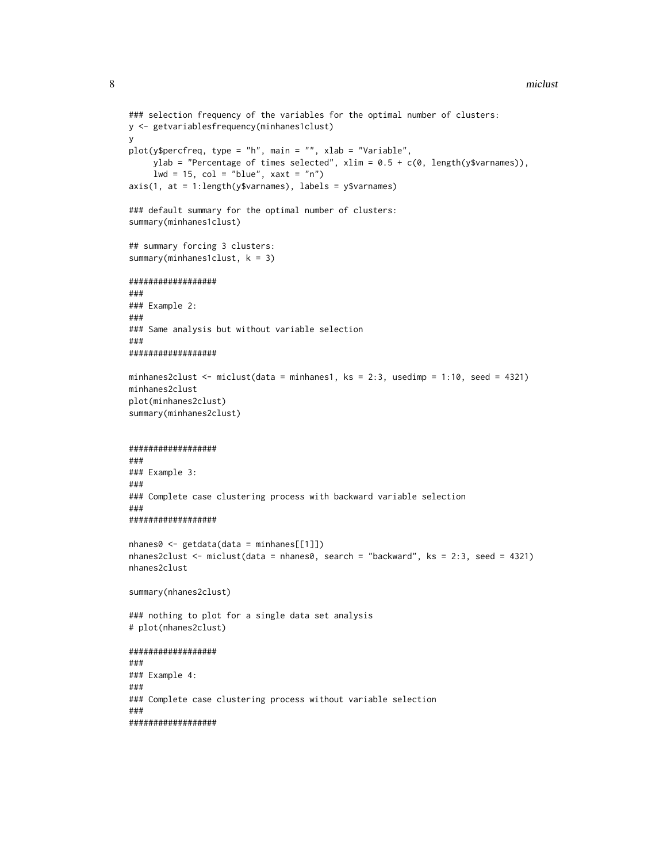#### 8 miclust number of the state of the state of the state of the state of the state of the state of the state of the state of the state of the state of the state of the state of the state of the state of the state of the sta

```
### selection frequency of the variables for the optimal number of clusters:
y <- getvariablesfrequency(minhanes1clust)
y
plot(y$percfreq, type = "h", main = "", xlab = "Variable",
     ylab = "Percentage of times selected", xlim = 0.5 + c(0, \text{ length}(y\text{$\$varnames})),lwd = 15, col = "blue", xaxt = "n")axis(1, at = 1:length(y$varnames), labels = y$varnames)
### default summary for the optimal number of clusters:
summary(minhanes1clust)
## summary forcing 3 clusters:
summary(minhanes1clust, k = 3)
##################
###
### Example 2:
###
### Same analysis but without variable selection
###
##################
minhanes2clust <- miclust(data = minhanes1, ks = 2:3, usedimp = 1:10, seed = 4321)
minhanes2clust
plot(minhanes2clust)
summary(minhanes2clust)
##################
###
### Example 3:
###
### Complete case clustering process with backward variable selection
###
##################
nhanes0 <- getdata(data = minhanes[[1]])
nhanes2clust <- miclust(data = nhanes0, search = "backward", ks = 2:3, seed = 4321)
nhanes2clust
summary(nhanes2clust)
### nothing to plot for a single data set analysis
# plot(nhanes2clust)
##################
###
### Example 4:
###
### Complete case clustering process without variable selection
###
##################
```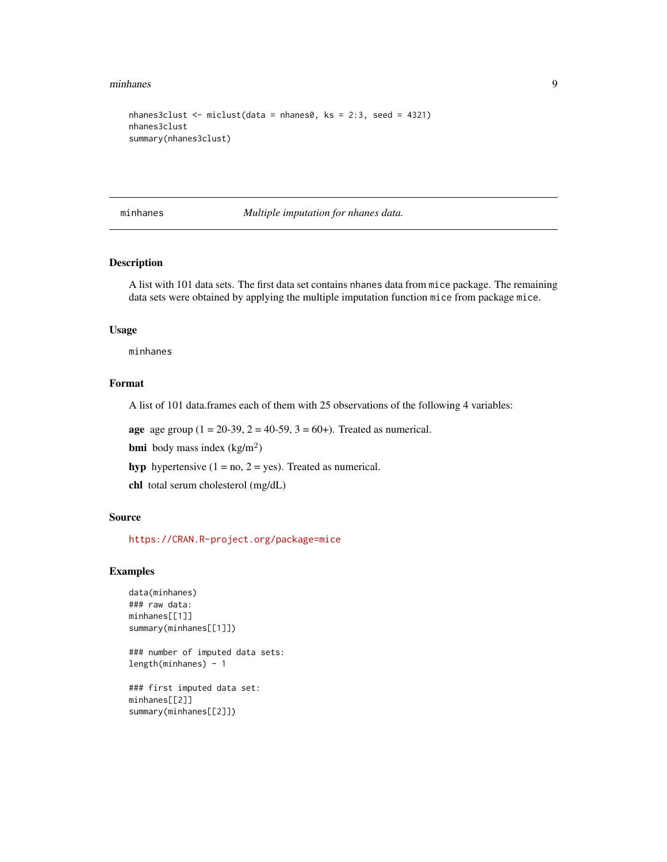#### <span id="page-8-0"></span>minhanes 9

```
nhanes3clust <- miclust(data = nhanes0, ks = 2:3, seed = 4321)
nhanes3clust
summary(nhanes3clust)
```
minhanes *Multiple imputation for nhanes data.*

# Description

A list with 101 data sets. The first data set contains nhanes data from mice package. The remaining data sets were obtained by applying the multiple imputation function mice from package mice.

#### Usage

minhanes

# Format

A list of 101 data.frames each of them with 25 observations of the following 4 variables:

**age** age group  $(1 = 20-39, 2 = 40-59, 3 = 60+)$ . Treated as numerical.

**bmi** body mass index  $(kg/m^2)$ 

hyp hypertensive  $(1 = no, 2 = yes)$ . Treated as numerical.

chl total serum cholesterol (mg/dL)

#### Source

<https://CRAN.R-project.org/package=mice>

#### Examples

```
data(minhanes)
### raw data:
minhanes[[1]]
summary(minhanes[[1]])
```
### number of imputed data sets: length(minhanes) - 1

### first imputed data set: minhanes[[2]] summary(minhanes[[2]])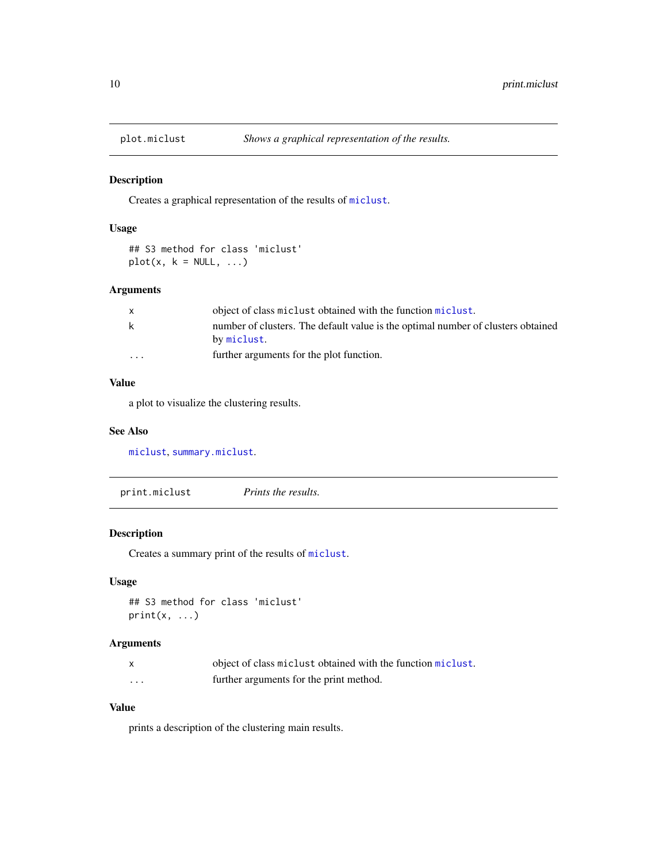<span id="page-9-1"></span><span id="page-9-0"></span>

# Description

Creates a graphical representation of the results of [miclust](#page-4-1).

# Usage

```
## S3 method for class 'miclust'
plot(x, k = NULL, ...)
```
# Arguments

|                         | object of class miclust obtained with the function miclust.                                     |
|-------------------------|-------------------------------------------------------------------------------------------------|
| k                       | number of clusters. The default value is the optimal number of clusters obtained<br>by miclust. |
| $\cdot$ $\cdot$ $\cdot$ | further arguments for the plot function.                                                        |

### Value

a plot to visualize the clustering results.

#### See Also

[miclust](#page-4-1), [summary.miclust](#page-10-1).

| print.miclust | <i>Prints the results.</i> |  |
|---------------|----------------------------|--|
|---------------|----------------------------|--|

# Description

Creates a summary print of the results of [miclust](#page-4-1).

# Usage

```
## S3 method for class 'miclust'
print(x, \ldots)
```
#### Arguments

|          | object of class miclust obtained with the function miclust. |
|----------|-------------------------------------------------------------|
| $\cdots$ | further arguments for the print method.                     |

# Value

prints a description of the clustering main results.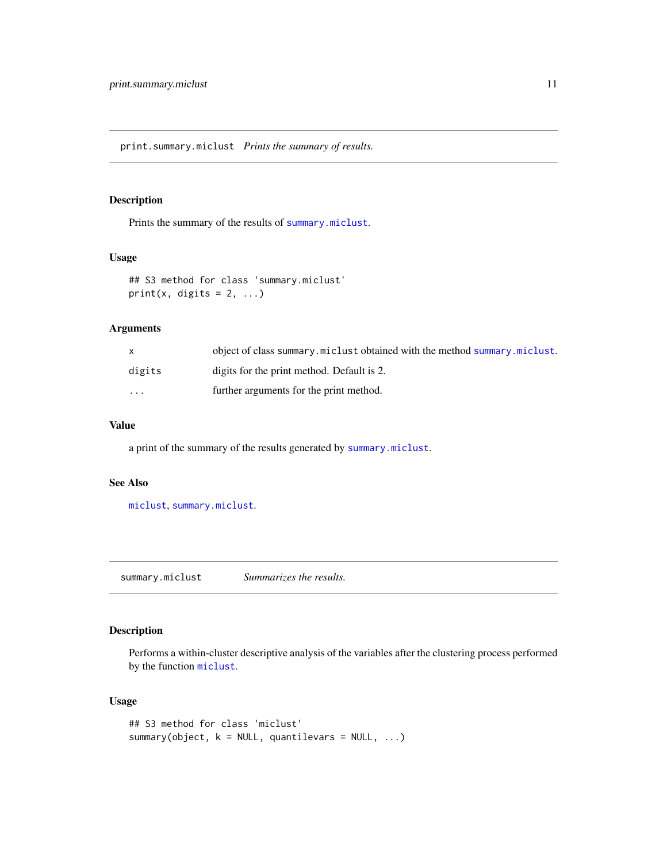<span id="page-10-0"></span>print.summary.miclust *Prints the summary of results.*

#### Description

Prints the summary of the results of [summary.miclust](#page-10-1).

### Usage

## S3 method for class 'summary.miclust'  $print(x, \text{ digits} = 2, \ldots)$ 

# Arguments

|                         | object of class summary miclust obtained with the method summary miclust. |
|-------------------------|---------------------------------------------------------------------------|
| digits                  | digits for the print method. Default is 2.                                |
| $\cdot$ $\cdot$ $\cdot$ | further arguments for the print method.                                   |

#### Value

a print of the summary of the results generated by [summary.miclust](#page-10-1).

#### See Also

[miclust](#page-4-1), [summary.miclust](#page-10-1).

<span id="page-10-1"></span>summary.miclust *Summarizes the results.*

### Description

Performs a within-cluster descriptive analysis of the variables after the clustering process performed by the function [miclust](#page-4-1).

#### Usage

```
## S3 method for class 'miclust'
summary(object, k = NULL, quantilevars = NULL, ...)
```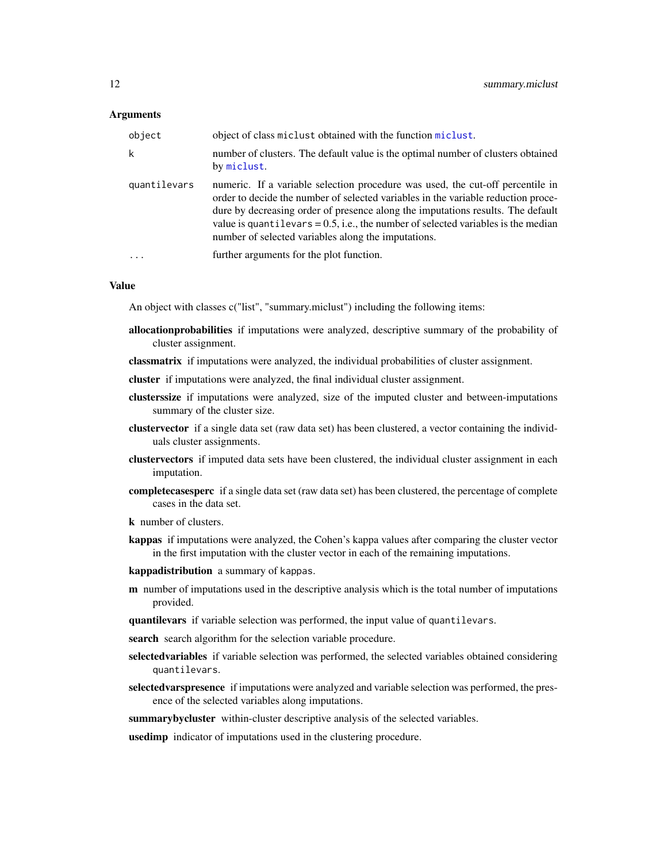#### Arguments

| object       | object of class miclust obtained with the function miclust.                                                                                                                                                                                                                                                                                                                                           |
|--------------|-------------------------------------------------------------------------------------------------------------------------------------------------------------------------------------------------------------------------------------------------------------------------------------------------------------------------------------------------------------------------------------------------------|
| k            | number of clusters. The default value is the optimal number of clusters obtained<br>by miclust.                                                                                                                                                                                                                                                                                                       |
| quantilevars | numeric. If a variable selection procedure was used, the cut-off percentile in<br>order to decide the number of selected variables in the variable reduction proce-<br>dure by decreasing order of presence along the imputations results. The default<br>value is quantilevars = $0.5$ , i.e., the number of selected variables is the median<br>number of selected variables along the imputations. |
|              | further arguments for the plot function.                                                                                                                                                                                                                                                                                                                                                              |

#### Value

An object with classes c("list", "summary.miclust") including the following items:

- allocationprobabilities if imputations were analyzed, descriptive summary of the probability of cluster assignment.
- classmatrix if imputations were analyzed, the individual probabilities of cluster assignment.
- cluster if imputations were analyzed, the final individual cluster assignment.
- clusterssize if imputations were analyzed, size of the imputed cluster and between-imputations summary of the cluster size.
- clustervector if a single data set (raw data set) has been clustered, a vector containing the individuals cluster assignments.
- clustervectors if imputed data sets have been clustered, the individual cluster assignment in each imputation.
- completecasesperc if a single data set (raw data set) has been clustered, the percentage of complete cases in the data set.
- k number of clusters.
- kappas if imputations were analyzed, the Cohen's kappa values after comparing the cluster vector in the first imputation with the cluster vector in each of the remaining imputations.
- kappadistribution a summary of kappas.
- **m** number of imputations used in the descriptive analysis which is the total number of imputations provided.
- quantilevars if variable selection was performed, the input value of quantilevars.
- search search algorithm for the selection variable procedure.
- selectedvariables if variable selection was performed, the selected variables obtained considering quantilevars.
- selectedvarspresence if imputations were analyzed and variable selection was performed, the presence of the selected variables along imputations.
- summarybycluster within-cluster descriptive analysis of the selected variables.

usedimp indicator of imputations used in the clustering procedure.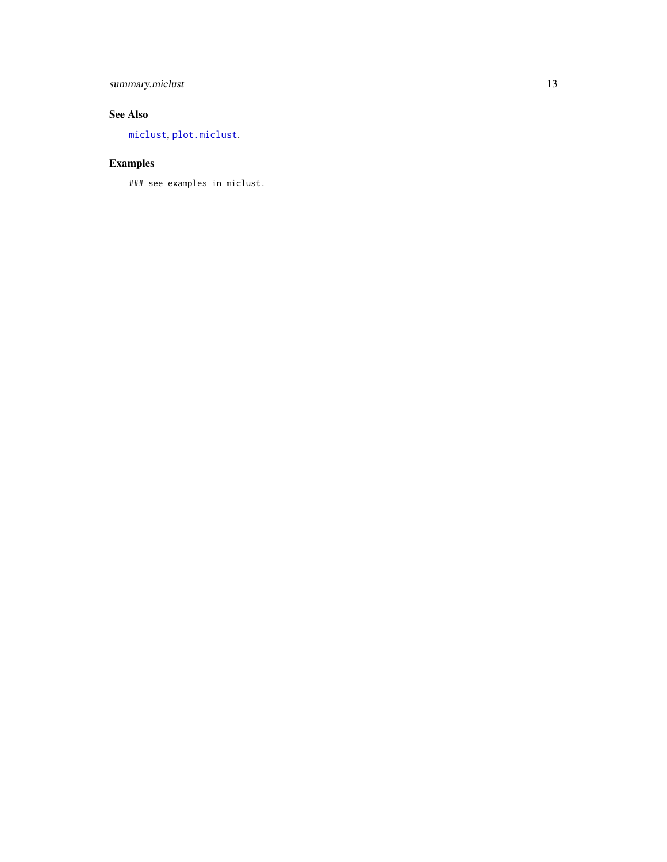# <span id="page-12-0"></span>summary.miclust 13

# See Also

[miclust](#page-4-1) , [plot.miclust](#page-9-1) .

# Examples

### see examples in miclust.